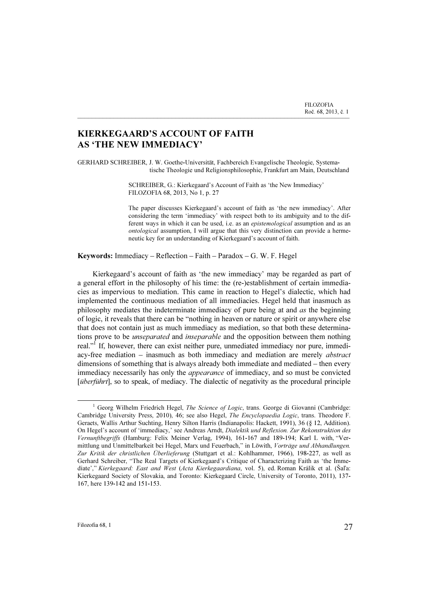## KIERKEGAARD'S ACCOUNT OF FAITH AS 'THE NEW IMMEDIACY'

GERHARD SCHREIBER, J. W. Goethe-Universität, Fachbereich Evangelische Theologie, Systema tische Theologie und Religionsphilosophie, Frankfurt am Main, Deutschland

\_\_\_\_\_\_\_\_\_\_\_\_\_\_\_\_\_\_\_\_\_\_\_\_\_\_\_\_\_\_\_\_\_\_\_\_\_\_\_\_\_\_\_\_\_\_\_\_\_\_\_\_\_\_\_\_\_\_\_\_\_\_\_\_\_\_\_\_\_\_\_\_\_\_\_

SCHREIBER, G.: Kierkegaard's Account of Faith as 'the New Immediacy' FILOZOFIA 68, 2013, No 1, p. 27

The paper discusses Kierkegaard's account of faith as 'the new immediacy'. After considering the term 'immediacy' with respect both to its ambiguity and to the different ways in which it can be used, i.e. as an epistemological assumption and as an ontological assumption, I will argue that this very distinction can provide a hermeneutic key for an understanding of Kierkegaard's account of faith.

Keywords: Immediacy – Reflection – Faith – Paradox – G. W. F. Hegel

Kierkegaard's account of faith as 'the new immediacy' may be regarded as part of a general effort in the philosophy of his time: the (re-)establishment of certain immediacies as impervious to mediation. This came in reaction to Hegel's dialectic, which had implemented the continuous mediation of all immediacies. Hegel held that inasmuch as philosophy mediates the indeterminate immediacy of pure being at and as the beginning of logic, it reveals that there can be "nothing in heaven or nature or spirit or anywhere else that does not contain just as much immediacy as mediation, so that both these determinations prove to be *unseparated* and *inseparable* and the opposition between them nothing real."<sup>If</sup> If, however, there can exist neither pure, unmediated immediacy nor pure, immediacy-free mediation  $-$  inasmuch as both immediacy and mediation are merely *abstract* dimensions of something that is always already both immediate and mediated – then every immediacy necessarily has only the appearance of immediacy, and so must be convicted [überführt], so to speak, of mediacy. The dialectic of negativity as the procedural principle

<sup>&</sup>lt;sup>1</sup> Georg Wilhelm Friedrich Hegel, The Science of Logic, trans. George di Giovanni (Cambridge: Cambridge University Press, 2010), 46; see also Hegel, The Encyclopaedia Logic, trans. Theodore F. Geraets, Wallis Arthur Suchting, Henry Silton Harris (Indianapolis: Hackett, 1991), 36 (§ 12, Addition). On Hegel's account of 'immediacy,' see Andreas Arndt, Dialektik und Reflexion. Zur Rekonstruktion des Vernunftbegriffs (Hamburg: Felix Meiner Verlag, 1994), 161-167 and 189-194; Karl L with, "Vermittlung und Unmittelbarkeit bei Hegel, Marx und Feuerbach," in Löwith, Vorträge und Abhandlungen. Zur Kritik der christlichen Überlieferung (Stuttgart et al.: Kohlhammer, 1966), 198-227, as well as Gerhard Schreiber, "The Real Targets of Kierkegaard's Critique of Characterizing Faith as 'the Immediate'," Kierkegaard: East and West (Acta Kierkegaardiana, vol. 5), ed. Roman Králik et al. (Šaľa: Kierkegaard Society of Slovakia, and Toronto: Kierkegaard Circle, University of Toronto, 2011), 137- 167, here 139-142 and 151-153.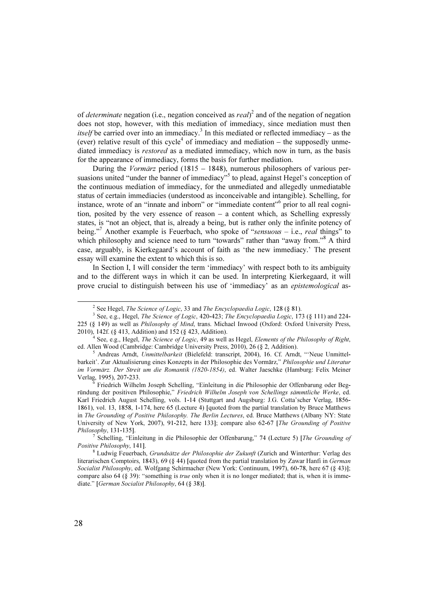of *determinate* negation (i.e., negation conceived as  $real$ )<sup>2</sup> and of the negation of negation does not stop, however, with this mediation of immediacy, since mediation must then itself be carried over into an immediacy.<sup>3</sup> In this mediated or reflected immediacy – as the (ever) relative result of this cycle<sup>4</sup> of immediacy and mediation – the supposedly unmediated immediacy is restored as a mediated immediacy, which now in turn, as the basis for the appearance of immediacy, forms the basis for further mediation.

During the Vormärz period (1815 – 1848), numerous philosophers of various persuasions united "under the banner of immediacy"<sup>5</sup> to plead, against Hegel's conception of the continuous mediation of immediacy, for the unmediated and allegedly unmediatable status of certain immediacies (understood as inconceivable and intangible). Schelling, for instance, wrote of an "innate and inborn" or "immediate content"<sup>6</sup> prior to all real cognition, posited by the very essence of reason – a content which, as Schelling expressly states, is "not an object, that is, already a being, but is rather only the infinite potency of being."<sup>7</sup> Another example is Feuerbach, who spoke of "sensuous – i.e., real things" to which philosophy and science need to turn "towards" rather than "away from."<sup>8</sup> A third case, arguably, is Kierkegaard's account of faith as 'the new immediacy.' The present essay will examine the extent to which this is so.

In Section I, I will consider the term 'immediacy' with respect both to its ambiguity and to the different ways in which it can be used. In interpreting Kierkegaard, it will prove crucial to distinguish between his use of 'immediacy' as an epistemological as-

<sup>&</sup>lt;sup>2</sup> See Hegel, *The Science of Logic*, 33 and *The Encyclopaedia Logic*, 128 (§ 81).

 $3$  See, e.g., Hegel, *The Science of Logic*, 420-423; *The Encyclopaedia Logic*, 173 (§ 111) and 224-225 (§ 149) as well as Philosophy of Mind, trans. Michael Inwood (Oxford: Oxford University Press, 2010), 142f. (§ 413, Addition) and 152 (§ 423, Addition).<br><sup>4</sup> See, e.g., Hegel, *The Science of Logic*, 49 as well as Hegel, *Elements of the Philosophy of Right*,

ed. Allen Wood (Cambridge: Cambridge University Press, 2010), 26 (§ 2, Addition).

 $<sup>5</sup>$  Andreas Arndt, Unmittelbarkeit (Bielefeld: transcript, 2004), 16. Cf. Arndt, "'Neue Unmittel-</sup> barkeit'. Zur Aktualisierung eines Konzepts in der Philosophie des Vormärz," Philosophie und Literatur im Vormärz. Der Streit um die Romantik (1820-1854), ed. Walter Jaeschke (Hamburg: Felix Meiner Verlag, 1995), 207-233. <sup>6</sup>

Friedrich Wilhelm Joseph Schelling, "Einleitung in die Philosophie der Offenbarung oder Begründung der positiven Philosophie," Friedrich Wilhelm Joseph von Schellings sämmtliche Werke, ed. Karl Friedrich August Schelling, vols. 1-14 (Stuttgart and Augsburg: J.G. Cotta'scher Verlag, 1856- 1861), vol. 13, 1858, 1-174, here 65 (Lecture 4) [quoted from the partial translation by Bruce Matthews in The Grounding of Positive Philosophy. The Berlin Lectures, ed. Bruce Matthews (Albany NY: State University of New York, 2007), 91-212, here 133]; compare also 62-67 [The Grounding of Positive Philosophy, 131-1351.

<sup>&</sup>lt;sup>7</sup> Schelling, "Einleitung in die Philosophie der Offenbarung," 74 (Lecture 5) [*The Grounding of* Positive Philosophy, 1411.

 $8$  Ludwig Feuerbach, Grundsätze der Philosophie der Zukunft (Zurich and Winterthur: Verlag des literarischen Comptoirs, 1843), 69 (§ 44) [quoted from the partial translation by Zawar Hanfi in German Socialist Philosophy, ed. Wolfgang Schirmacher (New York: Continuum, 1997), 60-78, here 67 (§ 43)]; compare also 64 (§ 39): "something is *true* only when it is no longer mediated; that is, when it is immediate." [German Socialist Philosophy, 64 (§ 38)].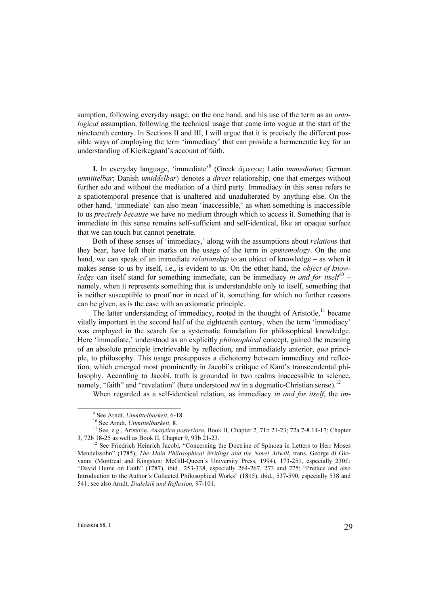sumption, following everyday usage, on the one hand, and his use of the term as an *onto*logical assumption, following the technical usage that came into vogue at the start of the nineteenth century. In Sections II and III, I will argue that it is precisely the different possible ways of employing the term 'immediacy' that can provide a hermeneutic key for an understanding of Kierkegaard's account of faith.

I. In everyday language, 'immediate'<sup>9</sup> (Greek ἀμεσος; Latin *immediatus*; German unmittelbar; Danish umiddelbar) denotes a direct relationship, one that emerges without further ado and without the mediation of a third party. Immediacy in this sense refers to a spatiotemporal presence that is unaltered and unadulterated by anything else. On the other hand, 'immediate' can also mean 'inaccessible,' as when something is inaccessible to us *precisely because* we have no medium through which to access it. Something that is immediate in this sense remains self-sufficient and self-identical, like an opaque surface that we can touch but cannot penetrate.

Both of these senses of 'immediacy,' along with the assumptions about relations that they bear, have left their marks on the usage of the term in epistemology. On the one hand, we can speak of an immediate *relationship* to an object of knowledge – as when it makes sense to us by itself, i.e., is evident to us. On the other hand, the *object of knowledge* can itself stand for something immediate, can be immediacy in and for itself<sup>10</sup> – namely, when it represents something that is understandable only to itself, something that is neither susceptible to proof nor in need of it, something for which no further reasons can be given, as is the case with an axiomatic principle.

The latter understanding of immediacy, rooted in the thought of Aristotle.<sup>11</sup> became vitally important in the second half of the eighteenth century, when the term 'immediacy' was employed in the search for a systematic foundation for philosophical knowledge. Here 'immediate,' understood as an explicitly *philosophical* concept, gained the meaning of an absolute principle irretrievable by reflection, and immediately anterior, qua principle, to philosophy. This usage presupposes a dichotomy between immediacy and reflection, which emerged most prominently in Jacobi's critique of Kant's transcendental philosophy. According to Jacobi, truth is grounded in two realms inaccessible to science, namely, "faith" and "revelation" (here understood *not* in a dogmatic-Christian sense).<sup>12</sup>

When regarded as a self-identical relation, as immediacy in and for itself, the im-

<sup>&</sup>lt;sup>9</sup> See Arndt, Unmittelbarkeit, 6-18.

<sup>&</sup>lt;sup>10</sup> See Arndt, Unmittelbarkeit, 8.<br><sup>11</sup> See, e.g., Aristotle, *Analytica posteriora*, Book II, Chapter 2, 71b 21-23; 72a 7-8.14-17; Chapter 3, 72b 18-25 as well as Book II, Chapter 9, 93b 21-23.<br><sup>12</sup> See Friedrich Heinrich Jacobi, "Concerning the Doctrine of Spinoza in Letters to Herr Moses

Mendelssohn" (1785), The Main Philosophical Writings and the Novel Allwill, trans. George di Giovanni (Montreal and Kingston: McGill-Queen's University Press, 1994), 173-251, especially 230f.; "David Hume on Faith" (1787), ibid., 253-338, especially 264-267, 273 and 275; "Preface and also Introduction to the Author's Collected Philosophical Works" (1815), ibid., 537-590, especially 538 and 541; see also Arndt, Dialektik und Reflexion, 97-101.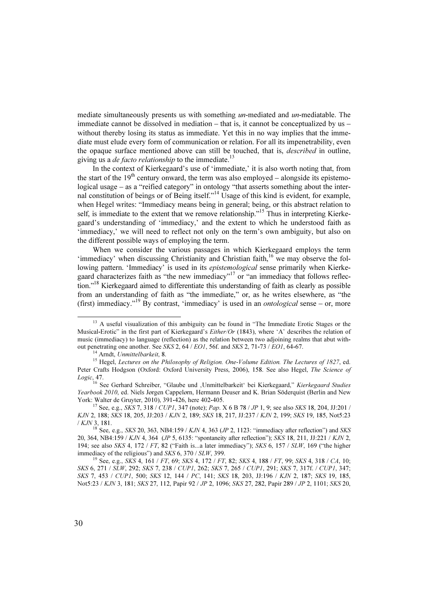mediate simultaneously presents us with something *un*-mediated and *un*-mediatable. The immediate cannot be dissolved in mediation  $-$  that is, it cannot be conceptualized by us  $$ without thereby losing its status as immediate. Yet this in no way implies that the immediate must elude every form of communication or relation. For all its impenetrability, even the opaque surface mentioned above can still be touched, that is, described in outline, giving us a *de facto relationship* to the immediate.<sup>13</sup>

In the context of Kierkegaard's use of 'immediate,' it is also worth noting that, from the start of the  $19<sup>th</sup>$  century onward, the term was also employed – alongside its epistemological usage – as a "reified category" in ontology "that asserts something about the internal constitution of beings or of Being itself."<sup>14</sup> Usage of this kind is evident, for example, when Hegel writes: "Immediacy means being in general; being, or this abstract relation to self, is immediate to the extent that we remove relationship."<sup>15</sup> Thus in interpreting Kierkegaard's understanding of 'immediacy,' and the extent to which he understood faith as 'immediacy,' we will need to reflect not only on the term's own ambiguity, but also on the different possible ways of employing the term.

When we consider the various passages in which Kierkegaard employs the term 'immediacy' when discussing Christianity and Christian faith, $16$  we may observe the following pattern. 'Immediacy' is used in its *epistemological* sense primarily when Kierkegaard characterizes faith as "the new immediacy"<sup>17</sup> or "an immediacy that follows reflection."<sup>18</sup> Kierkegaard aimed to differentiate this understanding of faith as clearly as possible from an understanding of faith as "the immediate," or, as he writes elsewhere, as "the (first) immediacy."<sup>19</sup> By contrast, 'immediacy' is used in an *ontological* sense – or, more

<sup>&</sup>lt;sup>13</sup> A useful visualization of this ambiguity can be found in "The Immediate Erotic Stages or the Musical-Erotic" in the first part of Kierkegaard's Either/Or (1843), where 'A' describes the relation of music (immediacy) to language (reflection) as the relation between two adjoining realms that abut with-

out penetrating one another. See SKS 2, 64 / EO1, 56f. and SKS 2, 71-73 / EO1, 64-67.<br><sup>14</sup> Arndt, Unmittelbarkeit, 8.<br><sup>15</sup> Hegel, Lectures on the Philosophy of Religion. One-Volume Edition. The Lectures of 1827, ed. Peter Crafts Hodgson (Oxford: Oxford University Press, 2006), 158. See also Hegel, The Science of Logic, 47.

<sup>&</sup>lt;sup>16</sup> See Gerhard Schreiber, "Glaube und ,Unmittelbarkeit' bei Kierkegaard," Kierkegaard Studies Yearbook 2010, ed. Niels Jørgen Cappelørn, Hermann Deuser and K. Brian Söderquist (Berlin and New York: Walter de Gruvter. 2010). 391-426. here 402-405.

<sup>&</sup>lt;sup>17</sup> See, e.g., *SKS* 7, 318 / *CUP1*, 347 (note); *Pap.* X 6 B 78 / *JP* 1, 9; see also *SKS* 18, 204, JJ:201 / KJN 2, 188; SKS 18, 205, JJ:203 / KJN 2, 189; SKS 18, 217, JJ:237 / KJN 2, 199; SKS 19, 185, Not5:23 / KJN 3, 181.

<sup>&</sup>lt;sup>18</sup> See, e.g., *SKS* 20, 363, NB4:159 / *KJN* 4, 363 (*JP* 2, 1123: "immediacy after reflection") and *SKS* 20, 364, NB4:159 / KJN 4, 364 (JP 5, 6135: "spontaneity after reflection"); SKS 18, 211, JJ:221 / KJN 2, 194; see also *SKS* 4, 172 / FT, 82 ("Faith is...a later immediacy"); *SKS* 6, 157 / *SLW*, 169 ("the higher immediacy of the religious") and *SKS* 6, 370 / *SLW*, 399.

<sup>&</sup>lt;sup>19</sup> See, e.g., SKS 4, 161 / FT, 69; SKS 4, 172 / FT, 82; SKS 4, 188 / FT, 99; SKS 4, 318 / CA, 10; SKS 6, 271 / SLW, 292; SKS 7, 238 / CUP1, 262; SKS 7, 265 / CUP1, 291; SKS 7, 317f. / CUP1, 347; SKS 7, 453 / CUP1, 500; SKS 12, 144 / PC, 141; SKS 18, 203, JJ:196 / KJN 2, 187; SKS 19, 185, Not5:23 / KJN 3, 181; SKS 27, 112, Papir 92 / JP 2, 1096; SKS 27, 282, Papir 289 / JP 2, 1101; SKS 20,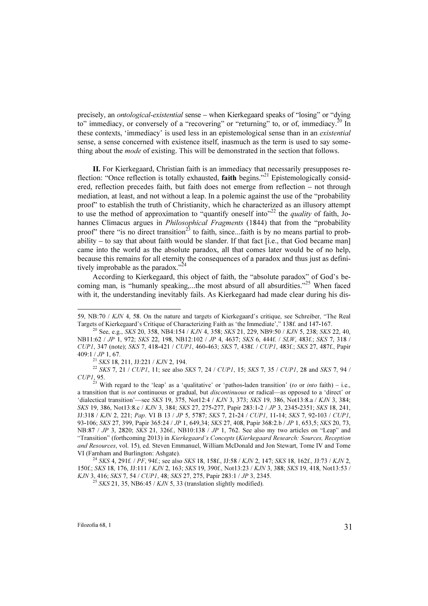precisely, an ontological-existential sense – when Kierkegaard speaks of "losing" or "dying to" immediacy, or conversely of a "recovering" or "returning" to, or of, immediacy.<sup>20</sup> In these contexts, 'immediacy' is used less in an epistemological sense than in an existential sense, a sense concerned with existence itself, inasmuch as the term is used to say something about the *mode* of existing. This will be demonstrated in the section that follows.

II. For Kierkegaard, Christian faith is an immediacy that necessarily presupposes reflection: "Once reflection is totally exhausted, **faith** begins."<sup>21</sup> Epistemologically considered, reflection precedes faith, but faith does not emerge from reflection – not through mediation, at least, and not without a leap. In a polemic against the use of the "probability proof" to establish the truth of Christianity, which he characterized as an illusory attempt to use the method of approximation to "quantify oneself into"<sup>22</sup> the *quality* of faith, Johannes Climacus argues in Philosophical Fragments (1844) that from the "probability proof" there "is no direct transition<sup>23</sup> to faith, since...faith is by no means partial to probability  $-$  to say that about faith would be slander. If that fact [i.e., that God became man] came into the world as the absolute paradox, all that comes later would be of no help, because this remains for all eternity the consequences of a paradox and thus just as definitively improbable as the paradox."<sup>24</sup>

According to Kierkegaard, this object of faith, the "absolute paradox" of God's becoming man, is "humanly speaking,...the most absurd of all absurdities."<sup>25</sup> When faced with it, the understanding inevitably fails. As Kierkegaard had made clear during his dis-

 $^{25}$  SKS 21, 35, NB6:45 / KJN 5, 33 (translation slightly modified).

<sup>59,</sup> NB:70 / KJN 4, 58. On the nature and targets of Kierkegaard's critique, see Schreiber, "The Real Targets of Kierkegaard's Critique of Characterizing Faith as 'the Immediate'," 138f. and 147-167.<br><sup>20</sup> See, e.g., *SKS* 20, 358, NB4:154 / *KJN* 4, 358; *SKS* 21, 229, NB9:50 / *KJN* 5, 238; *SKS* 22, 40,

NB11:62 / JP 1, 972; SKS 22, 198, NB12:102 / JP 4, 4637; SKS 6, 444f. / SLW, 483f.; SKS 7, 318 / CUP1, 347 (note); SKS 7, 418-421 / CUP1, 460-463; SKS 7, 438f. / CUP1, 483f.; SKS 27, 487f., Papir 409:1 / JP 1, 67.<br><sup>21</sup> SKS 18, 211, JJ:221 / KJN 2, 194.<br><sup>22</sup> SKS 7, 21 / CUP1, 11; see also SKS 7, 24 / CUP1, 15; SKS 7, 35 / CUP1, 28 and SKS 7, 94 /

CUP1, 95.

<sup>&</sup>lt;sup>23</sup> With regard to the 'leap' as a 'qualitative' or 'pathos-laden transition' (to or *into* faith) – i.e., a transition that is not continuous or gradual, but discontinuous or radical—as opposed to a 'direct' or 'dialectical transition'—see SKS 19, 375, Not12:4 / KJN 3, 373; SKS 19, 386, Not13:8.a / KJN 3, 384; SKS 19, 386, Not13:8.c / KJN 3, 384; SKS 27, 275-277, Papir 283:1-2 / JP 3, 2345-2351; SKS 18, 241, JJ:318 / KJN 2, 221; Pap. VI B 13 / JP 5, 5787; SKS 7, 21-24 / CUP1, 11-14; SKS 7, 92-103 / CUP1, 93-106; SKS 27, 399, Papir 365:24 / JP 1, 649,34; SKS 27, 408, Papir 368:2.b / JP 1, 653,5; SKS 20, 73, NB:87 / JP 3, 2820; SKS 21, 326f., NB10:138 / JP 1, 762. See also my two articles on "Leap" and "Transition" (forthcoming 2013) in Kierkegaard's Concepts (Kierkegaard Research: Sources, Reception and Resources, vol. 15), ed. Steven Emmanuel, William McDonald and Jon Stewart, Tome IV and Tome VI (Farnham and Burlington: Ashgate).<br><sup>24</sup> SKS 4, 291f. */ PF*, 94f.; see also SKS 18, 158f., JJ:58 / KJN 2, 147; SKS 18, 162f., JJ:73 / KJN 2,

<sup>150</sup>f.; SKS 18, 176, JJ:111 / KJN 2, 163; SKS 19, 390f., Not13:23 / KJN 3, 388; SKS 19, 418, Not13:53 / KJN 3, 416; SKS 7, 54 / CUP1, 48; SKS 27, 275, Papir 283:1 / JP 3, 2345.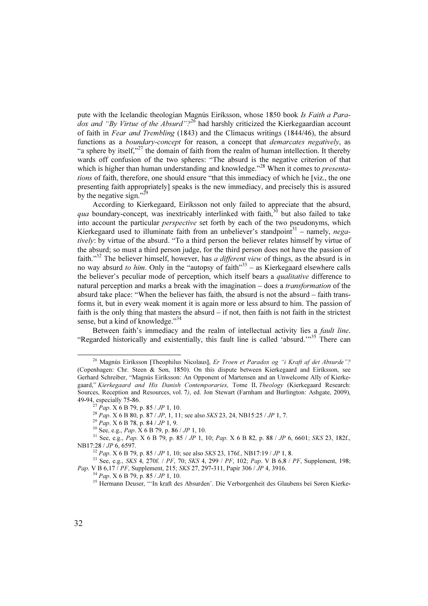pute with the Icelandic theologian Magnús Eiríksson, whose 1850 book Is Faith a Paradox and "By Virtue of the Absurd"?<sup>26</sup> had harshly criticized the Kierkegaardian account of faith in Fear and Trembling (1843) and the Climacus writings (1844/46), the absurd functions as a boundary-concept for reason, a concept that demarcates negatively, as "a sphere by itself,"<sup>27</sup> the domain of faith from the realm of human intellection. It thereby wards off confusion of the two spheres: "The absurd is the negative criterion of that which is higher than human understanding and knowledge."<sup>28</sup> When it comes to *presenta*tions of faith, therefore, one should ensure "that this immediacy of which he [viz., the one presenting faith appropriately] speaks is the new immediacy, and precisely this is assured by the negative sign."<sup>2</sup>

According to Kierkegaard, Eiríksson not only failed to appreciate that the absurd, qua boundary-concept, was inextricably interlinked with faith, $30$  but also failed to take into account the particular perspective set forth by each of the two pseudonyms, which Kierkegaard used to illuminate faith from an unbeliever's standpoint<sup>31</sup> – namely, negatively: by virtue of the absurd. "To a third person the believer relates himself by virtue of the absurd; so must a third person judge, for the third person does not have the passion of faith."<sup>32</sup> The believer himself, however, has *a different view* of things, as the absurd is in no way absurd to him. Only in the "autopsy of faith" $33 -$  as Kierkegaard elsewhere calls the believer's peculiar mode of perception, which itself bears a *qualitative* difference to natural perception and marks a break with the imagination – does a transformation of the absurd take place: "When the believer has faith, the absurd is not the absurd – faith transforms it, but in every weak moment it is again more or less absurd to him. The passion of faith is the only thing that masters the absurd  $-$  if not, then faith is not faith in the strictest sense, but a kind of knowledge."<sup>34</sup>

Between faith's immediacy and the realm of intellectual activity lies a *fault line*. "Regarded historically and existentially, this fault line is called 'absurd.'"<sup>35</sup> There can

<sup>&</sup>lt;sup>26</sup> Magnús Eiríksson [Theophilus Nicolaus], Er Troen et Paradox og "i Kraft af det Absurde"? (Copenhagen: Chr. Steen & Søn, 1850). On this dispute between Kierkegaard and Eiríksson, see Gerhard Schreiber, "Magnús Eiríksson: An Opponent of Martensen and an Unwelcome Ally of Kierkegaard," Kierkegaard and His Danish Contemporaries, Tome II, Theology (Kierkegaard Research: Sources, Reception and Resources, vol. 7), ed. Jon Stewart (Farnham and Burlington: Ashgate, 2009), 49-94. especially 75-86.

<sup>&</sup>lt;sup>27</sup> Pap. X 6 B 79, p. 85 / JP 1, 10.<br>
<sup>28</sup> Pap. X 6 B 80, p. 87 / JP, 1, 11; see also *SKS* 23, 24, NB15:25 / JP 1, 7.<br>
<sup>29</sup> Pap. X 6 B 78, p. 84 / JP 1, 9.<br>
<sup>30</sup> See, e.g., Pap. X 6 B 79, p. 86 / JP 1, 10.<br>
<sup>31</sup> See, e.

<sup>&</sup>lt;sup>32</sup> Pap. X 6 B 79, p. 85 / JP 1, 10; see also SKS 23, 176f., NB17:19 / JP 1, 8.<br><sup>33</sup> See, e.g., SKS 4, 270f. / PF, 70; SKS 4, 299 / PF, 102; Pap. V B 6,8 / PF, Supplement, 198;<br>Pap. V B 6,17 / PF, Supplement, 215; SKS 27

<sup>&</sup>lt;sup>34</sup> *Pap.* X 6 B 79, p. 85 / *JP* 1, 10.<br><sup>35</sup> Hermann Deuser, "'In kraft des Absurden'. Die Verborgenheit des Glaubens bei Søren Kierke-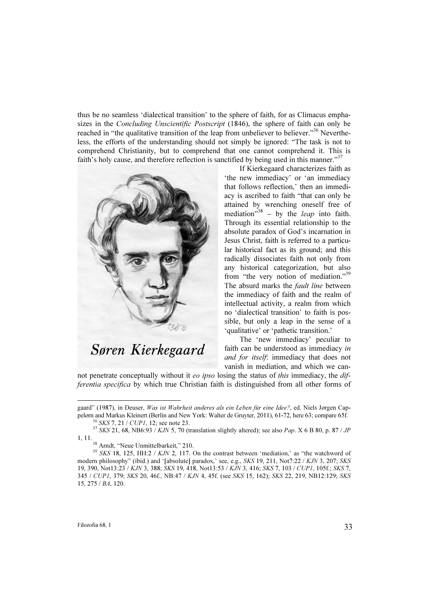thus be no seamless 'dialectical transition' to the sphere of faith, for as Climacus emphasizes in the Concluding Unscientific Postscript (1846), the sphere of faith can only be reached in "the qualitative transition of the leap from unbeliever to believer."<sup>36</sup> Nevertheless, the efforts of the understanding should not simply be ignored: "The task is not to comprehend Christianity, but to comprehend that one cannot comprehend it. This is faith's holy cause, and therefore reflection is sanctified by being used in this manner."<sup>37</sup>



If Kierkegaard characterizes faith as 'the new immediacy' or 'an immediacy that follows reflection,' then an immediacy is ascribed to faith "that can only be attained by wrenching oneself free of mediation<sup>338</sup> – by the *leap* into faith. Through its essential relationship to the absolute paradox of God's incarnation in Jesus Christ, faith is referred to a particular historical fact as its ground; and this radically dissociates faith not only from any historical categorization, but also from "the very notion of mediation."<sup>39</sup> The absurd marks the *fault line* between the immediacy of faith and the realm of intellectual activity, a realm from which no 'dialectical transition' to faith is possible, but only a leap in the sense of a 'qualitative' or 'pathetic transition.'

The 'new immediacy' peculiar to faith can be understood as immediacy in and for itself: immediacy that does not vanish in mediation, and which we can-

not penetrate conceptually without it *eo ipso* losing the status of *this* immediacy, the *dif*ferentia specifica by which true Christian faith is distinguished from all other forms of

gaard" (1987), in Deuser, Was ist Wahrheit anderes als ein Leben für eine Idee?, ed. Niels Jørgen Cappelørn and Markus Kleinert (Berlin and New York: Walter de Gruyter, 2011), 61-72, here 63; compare 65f.<br><sup>36</sup> SKS 7, 21 / CUP1, 12; see note 23.<br><sup>37</sup> SKS 21, 68, NB6:93 / KJN 5, 70 (translation slightly altered); see also

<sup>1, 11.</sup> <sup>38</sup> Arndt, "Neue Unmittelbarkeit," 210.

 $39$  SKS 18, 125, HH:2 / KJN 2, 117. On the contrast between 'mediation,' as "the watchword of modern philosophy" (ibid.) and '[absolute] paradox,' see, e.g., SKS 19, 211, Not7:22 / KJN 3, 207; SKS 19, 390, Not13:23 / KJN 3, 388; SKS 19, 418, Not13:53 / KJN 3, 416; SKS 7, 103 / CUP1, 105f.; SKS 7, 345 / CUP1, 379; SKS 20, 46f., NB:47 / KJN 4, 45f. (see SKS 15, 162); SKS 22, 219, NB12:129; SKS 15, 275 / BA, 120.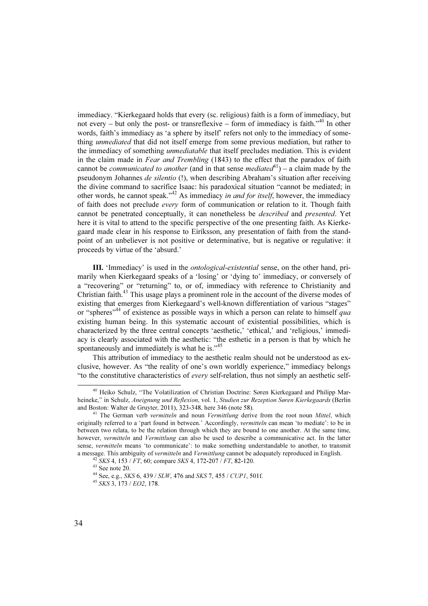immediacy. "Kierkegaard holds that every (sc. religious) faith is a form of immediacy, but not every – but only the post- or transreflexive – form of immediacy is faith. $140$  In other words, faith's immediacy as 'a sphere by itself' refers not only to the immediacy of something *unmediated* that did not itself emerge from some previous mediation, but rather to the immediacy of something *unmediatable* that itself precludes mediation. This is evident in the claim made in *Fear and Trembling* (1843) to the effect that the paradox of faith cannot be *communicated to another* (and in that sense *mediated*<sup>41</sup>) – a claim made by the pseudonym Johannes de silentio (!), when describing Abraham's situation after receiving the divine command to sacrifice Isaac: his paradoxical situation "cannot be mediated; in other words, he cannot speak."<sup>42</sup> As immediacy *in and for itself*, however, the immediacy of faith does not preclude every form of communication or relation to it. Though faith cannot be penetrated conceptually, it can nonetheless be described and presented. Yet here it is vital to attend to the specific perspective of the one presenting faith. As Kierkegaard made clear in his response to Eiríksson, any presentation of faith from the standpoint of an unbeliever is not positive or determinative, but is negative or regulative: it proceeds by virtue of the 'absurd.'

III. 'Immediacy' is used in the *ontological-existential* sense, on the other hand, primarily when Kierkegaard speaks of a 'losing' or 'dying to' immediacy, or conversely of a "recovering" or "returning" to, or of, immediacy with reference to Christianity and Christian faith.<sup>43</sup> This usage plays a prominent role in the account of the diverse modes of existing that emerges from Kierkegaard's well-known differentiation of various "stages" or "spheres"<sup>44</sup> of existence as possible ways in which a person can relate to himself qua existing human being. In this systematic account of existential possibilities, which is characterized by the three central concepts 'aesthetic,' 'ethical,' and 'religious,' immediacy is clearly associated with the aesthetic: "the esthetic in a person is that by which he spontaneously and immediately is what he is."<sup>45</sup>

This attribution of immediacy to the aesthetic realm should not be understood as exclusive, however. As "the reality of one's own worldly experience," immediacy belongs "to the constitutive characteristics of every self-relation, thus not simply an aesthetic self-

<sup>&</sup>lt;sup>40</sup> Heiko Schulz, "The Volatilization of Christian Doctrine: Søren Kierkegaard and Philipp Marheineke," in Schulz, Aneignung und Reflexion, vol. 1, Studien zur Rezeption Søren Kierkegaards (Berlin and Boston: Walter de Gruvter. 2011). 323-348. here 346 (note 58).

 $41$  The German verb vermitteln and noun Vermittlung derive from the root noun Mittel, which originally referred to a 'part found in between.' Accordingly, *vermitteln* can mean 'to mediate': to be in between two relata, to be the relation through which they are bound to one another. At the same time, however, *vermitteln* and *Vermittlung* can also be used to describe a communicative act. In the latter sense, vermitteln means 'to communicate': to make something understandable to another, to transmit a message. This ambiguity of *vermitteln* and *Vermittlung* cannot be adequately reproduced in English. <sup>42</sup> SKS 4, 153 / FT, 60; compare SKS 4, 172-207 / FT, 82-120. <sup>43</sup> See note 20.

<sup>&</sup>lt;sup>44</sup> See, e.g., *SKS* 6, 439 / *SLW*, 476 and *SKS* 7, 455 / *CUP1*, 501f. <sup>45</sup> *SKS* 3, 173 / *EO2*, 178.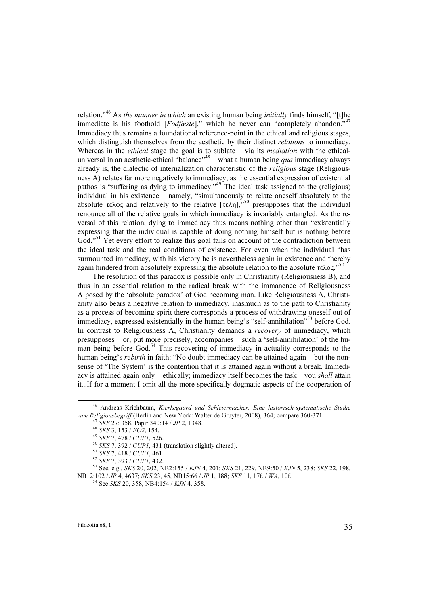relation."<sup>46</sup> As the manner in which an existing human being initially finds himself, "[t]he immediate is his foothold [Fodfæste]," which he never can "completely abandon."<sup>47</sup> Immediacy thus remains a foundational reference-point in the ethical and religious stages, which distinguish themselves from the aesthetic by their distinct *relations* to immediacy. Whereas in the  $ethical$  stage the goal is to sublate – via its *mediation* with the ethicaluniversal in an aesthetic-ethical "balance"<sup>48</sup> – what a human being *qua* immediacy always already is, the dialectic of internalization characteristic of the religious stage (Religiousness A) relates far more negatively to immediacy, as the essential expression of existential pathos is "suffering as dying to immediacy."<sup>49</sup> The ideal task assigned to the (religious) individual in his existence – namely, "simultaneously to relate oneself absolutely to the absolute τελος and relatively to the relative [τελη],<sup>50</sup> presupposes that the individual renounce all of the relative goals in which immediacy is invariably entangled. As the reversal of this relation, dying to immediacy thus means nothing other than "existentially expressing that the individual is capable of doing nothing himself but is nothing before God."<sup>51</sup> Yet every effort to realize this goal fails on account of the contradiction between the ideal task and the real conditions of existence. For even when the individual "has surmounted immediacy, with his victory he is nevertheless again in existence and thereby again hindered from absolutely expressing the absolute relation to the absolute τελος.<sup>"52</sup>

The resolution of this paradox is possible only in Christianity (Religiousness B), and thus in an essential relation to the radical break with the immanence of Religiousness A posed by the 'absolute paradox' of God becoming man. Like Religiousness A, Christianity also bears a negative relation to immediacy, inasmuch as to the path to Christianity as a process of becoming spirit there corresponds a process of withdrawing oneself out of immediacy, expressed existentially in the human being's "self-annihilation"<sup>53</sup> before God. In contrast to Religiousness A, Christianity demands a recovery of immediacy, which presupposes – or, put more precisely, accompanies – such a 'self-annihilation' of the human being before God.<sup>54</sup> This recovering of immediacy in actuality corresponds to the human being's *rebirth* in faith: "No doubt immediacy can be attained again – but the nonsense of 'The System' is the contention that it is attained again without a break. Immediacy is attained again only – ethically; immediacy itself becomes the task – you *shall* attain it...If for a moment I omit all the more specifically dogmatic aspects of the cooperation of

<sup>&</sup>lt;sup>46</sup> Andreas Krichbaum, *Kierkegaard und Schleiermacher. Eine historisch-systematische Studie zum Religionsbegriff* (Berlin and New York: Walter de Gruyter, 2008), 364; compare 360-371.

<sup>&</sup>lt;sup>47</sup> SKS 27: 358, Papir 340:14 / JP 2, 1348.<br><sup>48</sup> SKS 3, 153 / EO2, 154.<br><sup>49</sup> SKS 7, 478 / CUP1, 526.<br><sup>50</sup> SKS 7, 392 / CUP1, 431 (translation slightly altered).<br><sup>51</sup> SKS 7, 418 / CUP1, 461.<br><sup>52</sup> SKS 7, 393 / CUP1, 432.<br><sup></sup> NB12:102 / JP 4, 4637; SKS 23, 45, NB15:66 / JP 1, 188; SKS 11, 17f. / WA, 10f. 54 See SKS 20, 358, NB4:154 / KJN 4, 358.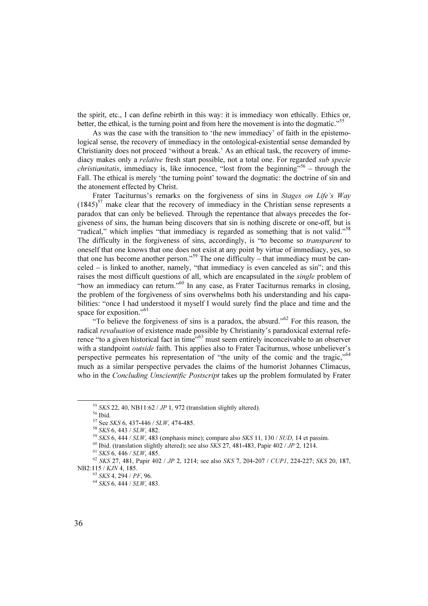the spirit, etc., I can define rebirth in this way: it is immediacy won ethically. Ethics or, better, the ethical, is the turning point and from here the movement is into the dogmatic."<sup>55</sup>

As was the case with the transition to 'the new immediacy' of faith in the epistemological sense, the recovery of immediacy in the ontological-existential sense demanded by Christianity does not proceed 'without a break.' As an ethical task, the recovery of immediacy makes only a *relative* fresh start possible, not a total one. For regarded *sub specie christianitatis*, immediacy is, like innocence, "lost from the beginning"<sup>56</sup> – through the Fall. The ethical is merely 'the turning point' toward the dogmatic: the doctrine of sin and the atonement effected by Christ.

Frater Taciturnus's remarks on the forgiveness of sins in Stages on Life's Way  $(1845)^{57}$  make clear that the recovery of immediacy in the Christian sense represents a paradox that can only be believed. Through the repentance that always precedes the forgiveness of sins, the human being discovers that sin is nothing discrete or one-off, but is "radical," which implies "that immediacy is regarded as something that is not valid."<sup>58</sup> The difficulty in the forgiveness of sins, accordingly, is "to become so *transparent* to oneself that one knows that one does not exist at any point by virtue of immediacy, yes, so that one has become another person."<sup>59</sup> The one difficulty – that immediacy must be canceled – is linked to another, namely, "that immediacy is even canceled as sin"; and this raises the most difficult questions of all, which are encapsulated in the single problem of "how an immediacy can return."<sup>60</sup> In any case, as Frater Taciturnus remarks in closing, the problem of the forgiveness of sins overwhelms both his understanding and his capabilities: "once I had understood it myself I would surely find the place and time and the space for exposition."<sup>61</sup>

"To believe the forgiveness of sins is a paradox, the absurd."<sup>62</sup> For this reason, the radical revaluation of existence made possible by Christianity's paradoxical external reference "to a given historical fact in time"<sup>63</sup> must seem entirely inconceivable to an observer with a standpoint *outside* faith. This applies also to Frater Taciturnus, whose unbeliever's perspective permeates his representation of "the unity of the comic and the tragic."<sup>64</sup> much as a similar perspective pervades the claims of the humorist Johannes Climacus, who in the *Concluding Unscientific Postscript* takes up the problem formulated by Frater

<sup>&</sup>lt;sup>55</sup> SKS 22, 40, NB11:62 / *JP* 1, 972 (translation slightly altered).<br><sup>56</sup> Ibid.<br><sup>57</sup> See SKS 6, 437-446 / SLW, 474-485.

<sup>&</sup>lt;sup>58</sup> SKS 6, 443 / SLW, 482.<br>
<sup>59</sup> SKS 6, 444 / SLW, 483 (emphasis mine); compare also SKS 11, 130 / SUD, 14 et passim.<br>
<sup>60</sup> Ibid. (translation slightly altered); see also SKS 27, 481-483, Papir 402 / JP 2, 1214.<br>
<sup>61</sup> SK NB2:115 / KJN 4, 185.<br><sup>63</sup> SKS 4, 294 / PF, 96.<br><sup>64</sup> SKS 6, 444 / SLW, 483.